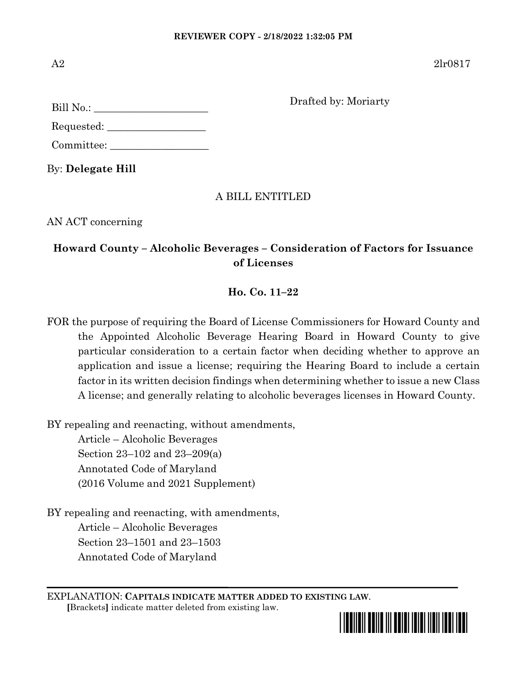$B<sub>i</sub>$ ll  $N<sub>o</sub>$ .

A2  $2\ln 0.817$ 

Drafted by: Moriarty

| $L_{\text{HII}}$ $\text{110}$ |  |
|-------------------------------|--|
|                               |  |
|                               |  |
|                               |  |
|                               |  |
| Requested:                    |  |

Committee:

By: **Delegate Hill**

## A BILL ENTITLED

AN ACT concerning

## **Howard County – Alcoholic Beverages – Consideration of Factors for Issuance of Licenses**

### **Ho. Co. 11–22**

FOR the purpose of requiring the Board of License Commissioners for Howard County and the Appointed Alcoholic Beverage Hearing Board in Howard County to give particular consideration to a certain factor when deciding whether to approve an application and issue a license; requiring the Hearing Board to include a certain factor in its written decision findings when determining whether to issue a new Class A license; and generally relating to alcoholic beverages licenses in Howard County.

BY repealing and reenacting, without amendments,

Article – Alcoholic Beverages Section 23–102 and 23–209(a) Annotated Code of Maryland (2016 Volume and 2021 Supplement)

BY repealing and reenacting, with amendments, Article – Alcoholic Beverages Section 23–1501 and 23–1503 Annotated Code of Maryland

EXPLANATION: **CAPITALS INDICATE MATTER ADDED TO EXISTING LAW**.  **[**Brackets**]** indicate matter deleted from existing law.

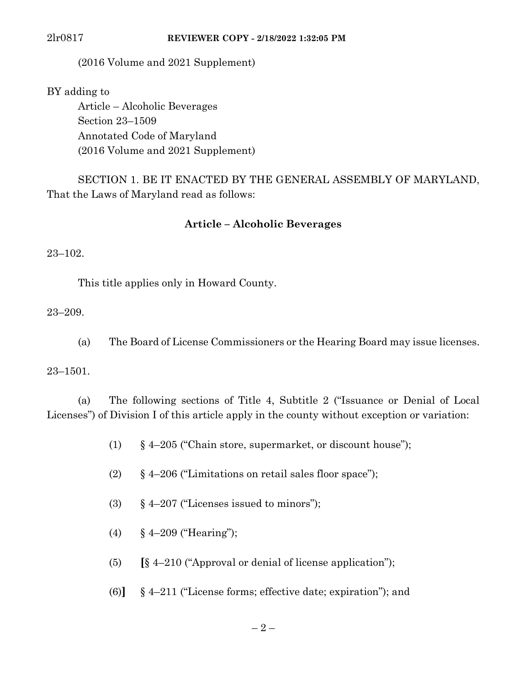(2016 Volume and 2021 Supplement)

BY adding to

Article – Alcoholic Beverages Section 23–1509 Annotated Code of Maryland (2016 Volume and 2021 Supplement)

SECTION 1. BE IT ENACTED BY THE GENERAL ASSEMBLY OF MARYLAND, That the Laws of Maryland read as follows:

### **Article – Alcoholic Beverages**

23–102.

This title applies only in Howard County.

23–209.

(a) The Board of License Commissioners or the Hearing Board may issue licenses.

23–1501.

(a) The following sections of Title 4, Subtitle 2 ("Issuance or Denial of Local Licenses") of Division I of this article apply in the county without exception or variation:

- (1) § 4–205 ("Chain store, supermarket, or discount house");
- (2) § 4–206 ("Limitations on retail sales floor space");
- (3)  $\S 4-207$  ("Licenses issued to minors");
- (4) § 4–209 ("Hearing");
- (5) **[**§ 4–210 ("Approval or denial of license application");
- (6)**]** § 4–211 ("License forms; effective date; expiration"); and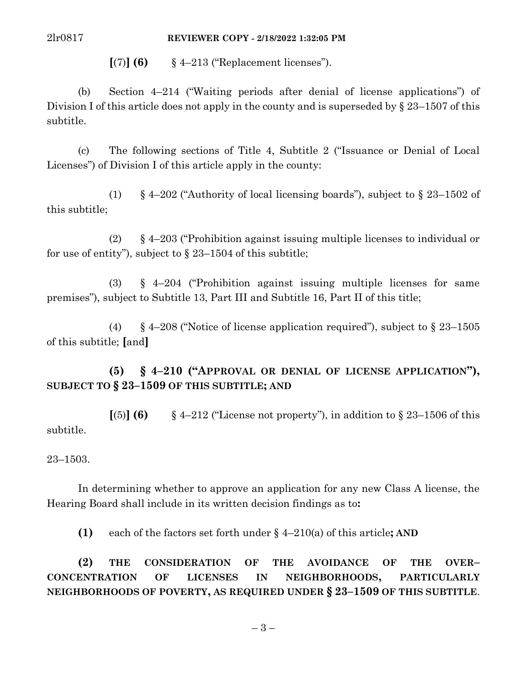$\lbrack (7) \rbrack$  **(6)** § 4–213 ("Replacement licenses").

(b) Section 4–214 ("Waiting periods after denial of license applications") of Division I of this article does not apply in the county and is superseded by § 23–1507 of this subtitle.

(c) The following sections of Title 4, Subtitle 2 ("Issuance or Denial of Local Licenses") of Division I of this article apply in the county:

(1) § 4–202 ("Authority of local licensing boards"), subject to § 23–1502 of this subtitle;

(2) § 4–203 ("Prohibition against issuing multiple licenses to individual or for use of entity"), subject to  $\S$  23–1504 of this subtitle;

(3) § 4–204 ("Prohibition against issuing multiple licenses for same premises"), subject to Subtitle 13, Part III and Subtitle 16, Part II of this title;

(4) § 4–208 ("Notice of license application required"), subject to  $\S$  23–1505 of this subtitle; **[**and**]**

**(5) § 4–210 ("APPROVAL OR DENIAL OF LICENSE APPLICATION"), SUBJECT TO § 23–1509 OF THIS SUBTITLE; AND**

 $\lbrack (5) \rbrack$  **(6)** § 4–212 ("License not property"), in addition to § 23–1506 of this subtitle.

23–1503.

In determining whether to approve an application for any new Class A license, the Hearing Board shall include in its written decision findings as to**:**

**(1)** each of the factors set forth under § 4–210(a) of this article**; AND**

**(2) THE CONSIDERATION OF THE AVOIDANCE OF THE OVER– CONCENTRATION OF LICENSES IN NEIGHBORHOODS, PARTICULARLY NEIGHBORHOODS OF POVERTY, AS REQUIRED UNDER § 23–1509 OF THIS SUBTITLE**.